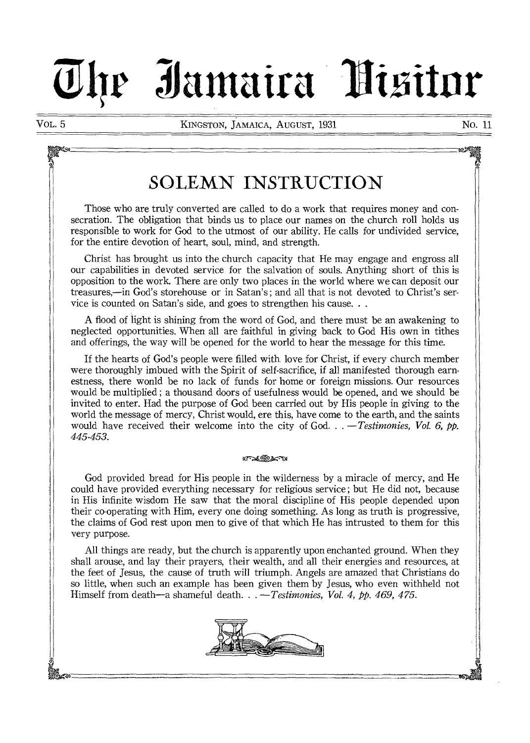# **5itimaira thitor**

VOL. 5 KINGSTON, JAMAICA, AUGUST, 1931 NO. 11

# SOLEMN INSTRUCTION

Those who are truly converted are called to do a work that requires money and consecration. The obligation that binds us to place our names on the church roll holds us responsible to work for God to the utmost of our ability. He calls for undivided service, for the entire devotion of heart, soul, mind, and strength.

Christ has brought us into the church capacity that He may engage and engross all our capabilities in devoted service for the salvation of souls. Anything short of this is opposition to the work. There are only two places in the world where we can deposit our treasures,—in God's storehouse or in Satan's ; and all that is not devoted to Christ's service is counted on Satan's side, and goes to strengthen his cause.. .

A flood of light is shining from the word of God, and there must be an awakening to neglected opportunities. When all are faithful in giving back to God His own in tithes and offerings, the way will be opened for the world to hear the message for this time.

If the hearts of God's people were filled with love for Christ, if every church member were thoroughly imbued with the Spirit of self-sacrifice, if all manifested thorough earnestness, there wonld be no lack of funds for home or foreign missions. Our resources would be multiplied ; a thousand doors of usefulness would be opened, and we should be invited to enter. Had the purpose of God been carried out by His people in giving to the world the message of mercy, Christ would, ere this, have come to the earth, and the saints would have received their welcome into the city of God. . . *—Testimonies, Vol. 6,* pp. *445-453.* 

#### *া* বিষ্টি≠িত।

God provided bread for His people in the wilderness by a miracle of mercy, and He could have provided everything necessary for religious service ; but He did not, because in His infinite wisdom He saw that the moral discipline of His people depended upon their co-operating with Him, every one doing something. As long as truth is progressive, the claims of God rest upon men to give of that which He has intrusted to them for this very purpose.

All things are ready, but the church is apparently upon enchanted ground. When they shall arouse, and lay their prayers, their wealth, and all their energies and resources, at the feet of Jesus, the cause of truth will triumph. Angels are amazed that Christians do so little, when such an example has been given them by Jesus, who even withheld not Himself from death—a shameful death. . . *—Testimonies, Vol. 4, pp. 469, 475.* 

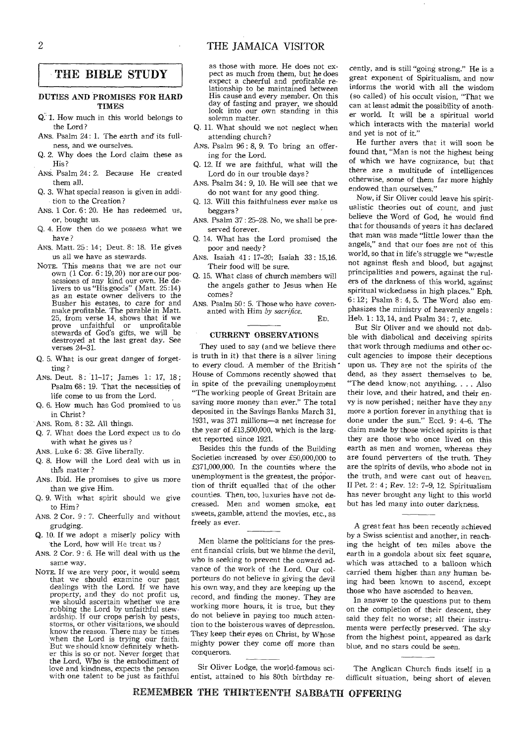### THE BIBLE STUDY

#### DUTIES AND PROMISES FOR HARD TIMES

- Q."1. How much in this world belongs to the Lord ?
- Ans. Psalm 24: 1. The earth and its fullness, and we ourselves.
- Q. 2. Why does the Lord claim these as His?
- ANS. Psalm 24: 2. Because He created them all.
- Q. 3. What special reason is given in addition to the Creation ?
- ANS. 1 Cor. 6: 20. He has redeemed us, or, bought us.
- Q. 4. How then do we possess what we have ?
- ANs. Matt. 25: 14; Deut. 8: 18. He gives us all we have as stewards.
- NOTE. This means that we are not our own (1 Cor. 6 :19, 20) nor are our possessions of any kind our own. He de-<br>livers to us "His goods" (Matt. 25:14) livers to us "His goods" as an estate owner delivers to the Busher his estates, to care for and make profitable. The parable in Matt. 25, from verse 14, shows that if we prove unfaithful or unprofitable stewards of God's gifts, we will be destroyed at the last great day. See verses 24-31.
- Q. 5. What is our great danger of forgetting ?
- ANs. Deut. 8: '11-17; James 1: 17, 18; Psalm 68: 19. That the necessities of life come to us from the Lord.
- Q. 6. How much has God promised to us in Christ?
- Ans. Rom. 8: 32. All things.
- Q. 7. What does the Lord expect us to do with what he gives us ?
- ANS. Luke 6: 38. Give liberally.
- Q. 8. How will the Lord deal with us in this matter ?
- ANs. Ibid. He promises to give us more than we give Him.
- Q. 9. With what spirit should we give to Him ?
- ANS. 2 Cor. 9: 7. Cheerfully and without grudging.
- Q. 10. If we adopt a miserly policy with 'the Lord, how will He treat us ?
- ANs. 2 Cor. 9: 6. He will deal with us the same way.
- NOTE. If we are very poor, it would seem that we should examine our past dealings with the Lord. If we have property, and they do not profit us, we should ascertain whether we are .robbing the Lord by unfaithful stewardship. If our crops perish by pests, storms, or other visitations, we should know the reason. There may be times when the Lord is trying our faith. But we should know definitely whether this is so or not. Never forget that the Lord, Who is the embodiment of love and kindness, expects the person with one talent to be just as faithful

as those with more. He does not expect as much from them, but he does expect a cheerful and profitable relationship to be maintained between His cause and every member. On this day of fasting and prayer, we should look into our own standing in this solemn matter.

- Q. 11. What should we not neglect when attending church?
- ANs. Psalm 96: 8, 9. To bring an offering for the Lord.
- Q. 12. If we are faithful, what will the Lord do in our trouble days?
- ANS. Psalm 34: 9, 10. He will see that we do not want for any good thing.
- Q. 13. Will this faithfulness ever make us beggars?
- ANS. Psalm 37 : 25-28. No, we shall be preserved forever.
- Q. 14. What has the Lord promised the poor and needy?
- ANS. Isaiah 41: 17-20; Isaiah 33: 15,16. Their food will be sure.
- Q. 15. What class of church members will the angels gather to Jesus when He comes?
- ANS. Psalm 50: 5. Those who have covenanted with Him by sacrifice.  $E<sub>D</sub>$

#### CURRENT OBSERVATIONS

They used to say (and we believe there is truth in it) that there is a silver lining to every cloud. A member of the British House of Commons recently showed that in spite of the prevailing unemployment "The working people of Great Britain are saving more money than ever." The total deposited in the Savings Banks March 31, 1931, was 371 millions-a net increase for the year of £13,500,000, which is the largest reported since 1921.

Besides this the funds of the Building Societies increased by over £50,000,000 to  $£371,000,000$ . In the counties where the unemployment is the greatest, the proportion of thrift equalled that of the other counties. Then, too, luxuries have not decreased. Men and women smoke, eat sweets, gamble, attend the movies, etc., as freely as ever.

Men blame the politicians for the present financial crisis, but we blame the devil, who is seeking to prevent the onward advance of the work of the Lord. Our colporteurs do not believe in giving the devil his own way, and they are keeping up the record, and finding the money. They are working more hours, it is true, but they do not believe in paying too much attention to the boisterous waves of depression. They keep their eyes on Christ, by Whose mighty power they come off more than conquerors.

Sir Oliver Lodge, the world-famous scientist, attained to his 80th birthday re-

cently, and is still "going strong." He is a great exponent of Spiritualism, and now informs the world with all the wisdom (so called) of his occult vision, "That we can at least admit the possibility of another world. It will be a spiritual world which interacts with the material world and yet is not of it."

He further avers that it will soon be found that, "Man is not the highest being of which we have cognizance, but that there are a multitude of intelligences otherwise, some of them far more highly endowed than ourselves."

Now, if Sir Oliver could leave his spiritualistic theories out of count, and just believe the Word of God, he would find that for thousands of years it has declared that man was made "little lower than the angels," and that our foes are not of this world, so that in life's struggle we "wrestle not against flesh and blood, but against principalities and powers, against the rulers of the darkness of this world, against spiritual wickedness in high places." Eph. 6 : 12 ; Psalm 8: 4, 5. The Word also emphasizes the ministry of heavenly angels : Heb. 1: 13, 14, and Psalm 34: 7, etc.

But Sir Oliver and we should not dabble with diabolical and deceiving spirits that work through mediums and other occult agencies to impose their deceptions upon us. They are not the spirits of the dead, as they assert themselves to be. "The dead know:not anything. . . . Also their love, and their hatred, and their envy is now perished ; neither have they any more a portion forever in anything that is done under the sun." Eccl. 9: 4-6. The claim made by those wicked spirits is that they are those who once lived on this earth as men and women, whereas they are found perverters of the truth. They are the spirits of devils, who abode not in the truth, and were cast out of heaven. II Pet. 2 : 4 ; Rev. 12: 7-9, 12. Spiritualism has never brought any light to this world but has led many into outer darkness.

A great feat has been recently achieved by a Swiss scientist and another, in reaching the height of ten miles above the earth in a gondola about six feet square, which was attached to a balloon which carried them higher than any human being had been known to ascend, except those who have ascended to heaven.

In answer to the questions put to them on the completion of their descent, they said they felt no worse; all their instruments were perfectly preserved. The sky from the highest point, appeared as dark blue, and no stars could be seen.

The Anglican Church finds itself in a difficult situation, being short of eleven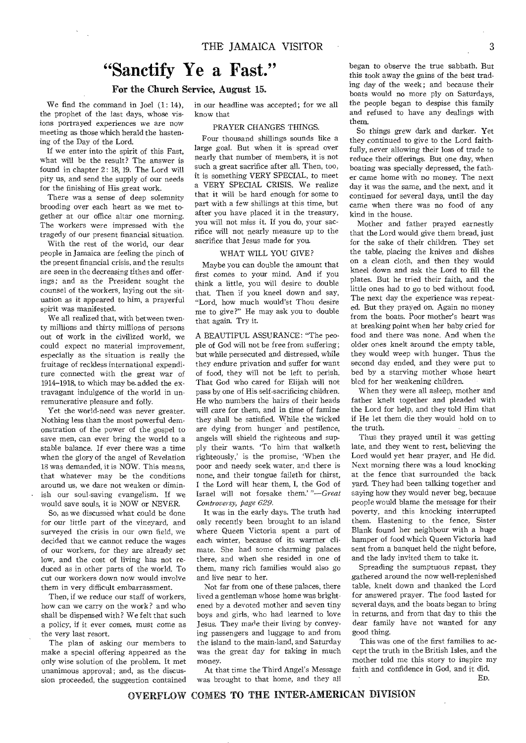## "Sanctify Ye a Fast."

#### For the Church Service, August 15.

We find the command in Joel  $(1: 14)$ , the prophet of the last days, whose visions portrayed experiences we are now meeting as those which herald the hastening of the Day of the Lord.

If we enter into the spirit of this Fast, what will be the result? The answer is found in chapter 2: 18,19. The Lord will pity us, and send the supply of our needs for the finishing of His great work.

There *was* a sense of deep solemnity brooding over each heart as we met together at our office altar one morning. The workers were impressed with the tragedy of our present financial situation.

With the rest of the world, our dear people in Jamaica are feeling the pinch of the present financial crisis, and the results are seen in the decreasing tithes and offerings; and as the President sought the counsel of the workers, laying out the situation as it appeared to him, a prayerful spirit was manifested.

We all realized that, with between twenty millions and thirty millions of persons out of work in the civilized world, we could expect no material improvement, especially as the situation is really the fruitage of reckless international expenditure connected with the great war of 1914-1918, to which may be-added the extravagant indulgence of the world in unremunerative pleasure and folly.

Yet the world-need was never greater. Nothing less than the most powerful demonstration of the power of the gospel to save men, can ever bring the world to a stable balance. If ever there was a time when the glory of the angel of Revelation 18 was demanded, it is NOW. This means, that whatever may be the conditions around us, we dare not weaken or diminish our soul-saving evangelism. If we would save souls, it is NOW or NEVER.

So, as we discussed what could be done for our little part of the vineyard, and surveyed the crisis in our own field, we decided that we cannot reduce the wages of our workers, for they are already set low, and the cost of living has not reduced as in other parts of the world. To cut our workers down now would involve them in very difficult embarrassment.

Then, if we reduce our staff of workers, how can we carry on the work? and who shall be dispensed with? We felt that such a policy, if it ever comes, must come as the very last resort.

The plan of asking our members to make a special offering appeared as the only wise solution of the problem. It met unanimous approval; and, as the discussion proceeded, the suggestion contained

in our headline was accepted; for we all know that

#### PRAYER CHANGES THINGS.

Four thousand shillings sounds like a large goal. But when it is spread over nearly that number of members, it is not such a great sacrifice after all. Then, too, it is something VERY SPECIAL, to meet a VERY SPECIAL CRISIS. We realize that it will be hard enough for some to part with a few shillings at this time, but after you have placed it in the treasury, you will not miss it. If you do, your sacrifice will not nearly measure up to the sacrifice that Jesus made for you.

#### WHAT WILL YOU GIVE?

Maybe you can double the amount that first comes to your mind. And if you think a little, you will desire to double that. Then if you kneel down and say, "Lord, how much would'st Thou desire me to give?" He may ask you to double that again. Try it.

A BEAUTIFUL ASSURANCE: "The people of God will not be free from suffering; but while persecuted and distressed, while they endure privation and suffer for want of food, they will not be left to perish. That God who cared for Elijah will not pass by one of His self-sacrificing children. He who numbers the hairs of their heads will care for them, and in time of famine they shall be satisfied. While the wicked are dying from hunger and pestilence, angels will shield the righteous and supply their wants. 'To him that walketh righteously,' is the promise, 'When the poor and needy seek water, and there is none, and their tongue faileth for thirst, I the Lord will hear them, I, the God of Israel will not forsake them.' *"—Great Controversy, page 629.* 

It was in the early days. The truth had only recently been brought to an island where Queen Victoria spent a part of each winter, because of its warmer climate. She had some charming palaces there, and when she resided in one of them, many rich families would also go and live near to her.

Not far from one of these palaces, there lived a gentleman whose home was brightened by a devoted mother and seven tiny boys and girls, who had learned to love Jesus. They made their living by conveying passengers and luggage to and from the island to the main-land, and Saturday was the great day for taking in much money.

At that time the Third Angel's Message was brought to that home, and they all

began to observe the true sabbath. But this took away the gains of the best trading day of the week; and because their boats would no more ply on Saturdays, the people began to despise this family and refused to have any dealings with them.

So things grew dark and darker. Yet they continued to give to the Lord faithfully, never allowing their loss of trade to reduce their offerings. But one day, when boating was specially depressed, the father came home with no money. The next day it was the same, and the next, and it continued for several days, until the day came when there was no food of any kind in the house.

Mother and father prayed earnestly that the Lord would give them bread, just for the sake of their children. They set the table, placing the knives and dishes on a clean cloth, and then they would kneel down and ask the Lord to fill the plates. But he tried their faith, and the little ones had to go to bed without food. The next day the experience was repeated. But they prayed on. Again no money from the boats. Poor mother's heart was at breaking point when her baby cried for food and there was none. And when the older ones knelt around the empty table, they would weep with hunger. Thus the second day ended, and they were put to bed by a starving mother whose heart bled for her weakening children.

When they were all asleep, mother and father knelt together and pleaded with the Lord for help, and they told Him that if He let them die they would hold on to the truth.

Thus they prayed until it was getting late, and they went to rest, believing the Lord would yet hear prayer, and He did. Next morning there was a loud knocking at the fence that surrounded the back yard. They had been talking together and saying how they would never beg, because people would blame the message for their poverty, and this knocking interrupted them. Hastening to the fence, Sister Blank found her neighbour with a huge hamper of food which Queen Victoria had sent from a banquet held the night before, and the lady invited them to take it.

Spreading the sumptuous repast, they gathered around the now well-replenished table, knelt down and thanked the Lord for answered prayer. The food lasted for several days, and the boats began to bring in returns, and from that day to this the dear family have not wanted for any good thing.

This was one of the first families to accept the truth in the British Isles, and the mother told me this story to inspire my faith and confidence in God, and it did. ED.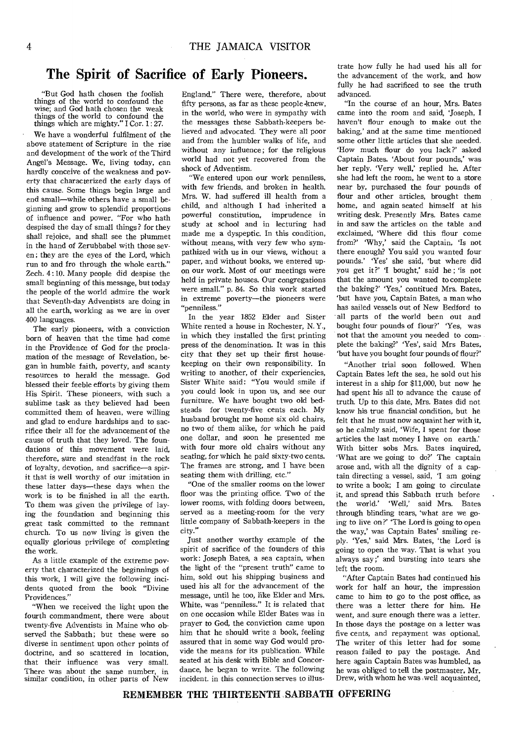## **The Spirit of Sacrifice of Early Pioneers.**

"But God hath chosen the foolish things of the world to confound the wise; and God hath chosen the weak things of the world to confound the things which are mighty." I Cor. 1: 27.

We have a wonderful fulfilment of the above statement of Scripture in the rise and development of the work of the Third Angel's Message. We, living today, can hardly conceive of the weakness and poverty that characterized the early days of this cause. Some things begin large and end small—while others have a small beginning and grow to splendid proportions of influence and power. "For who hath despised the day of small things ? for they shall rejoice, and shall see the plummet in the hand of Zerubbabel with those seven ; they are the eyes of the Lord, which run to and fro through the whole earth." Zech. 4:10. Many people did despise the small beginning of this message, but today the people of the world admire the work that Seventh-day Adventists are doing in all the earth, working as we are in over 400 languages.

The early pioneers, with a conviction born of heaven that the time had come in the Providence of God for the proclamation of the message of Revelation, began in humble faith, poverty, and scanty resources to herald the message. God blessed their feeble efforts 'by giving them His Spirit. These pioneers, with such a sublime task as they believed had been committed them of heaven, were willing and glad to endure hardships and to sacrifice their all for the advancement of the cause of truth that they loved. The foundations of this movement were laid, therefore, sure and steadfast in the rock of loyalty, devotion, and sacrifice—a spirit that is well worthy of our imitation in these latter days—these days when the work is to be finished in all the earth. To them was given the privilege of laying the foundation and beginning this great task committed to the remnant church. To us now living is given the equally glorious privilege of completing the work.

As a little example of the extreme poverty that characterized the beginnings of this work, I will give the following incidents quoted from the book "Divine Providences."

"When we received the light upon the fourth commandment, there were about twenty-five Adventists in Maine who observed the Sabbath; but these were so diverse in sentiment upon other points of doctrine, and so scattered in location, that their influence was very small. There was about the same number, in similar condition, in other parts of New

England." There were, therefore, about fifty persons, as far as these people  $\text{km}$ , in the world, who were in sympathy with the messages these Sabbath-keepers believed and advocated. They were all poor and from the humbler walks of life, and without any influence; for the religious world had not yet recovered from the shock of Adventism.

"We entered upon our work penniless, with few friends, and broken in health. Mrs. W. had suffered ill health from a child, and although I had inherited a powerful constitution, imprudence in study at school and in lecturing had made me a dyspeptic. In this condition, without means, with very few who sympathized with us in our views, without a paper, and without books, we entered upon our work. Most of our meetings were held in private houses. Our congregations were small." p. 84. So this work started in extreme poverty—the pioneers were "penniless."

In the year 1852 Elder and Sister White rented a house in Rochester, N. Y., in which they installed the first printing press of the denomination. It was in this city that they set up their first housekeeping on their own responsibility. In writing to another, of their experiencies, Sister White said: "You would smile if you could look in upon us, and see our furniture. We have bought two old bedsteads for twenty-five cents each. My husband brought me home six old chairs, no two of them alike, for which he paid one dollar, and soon he presented me with four more old chairs without any seating, for which he paid sixty-two cents. The frames are strong, and I have been seating them with drilling, etc."

"One of the smaller rooms on the lower floor was the printing office. Two of the lower rooms, with folding doors between, served as a meeting-room for the very little company of Sabbath-keepers in the city."

Just another worthy example of the spirit of sacrifice of the founders of this work: Joseph Bates, a sea captain, when the light of the "present truth" came to him, sold out his shipping business and used his all for the advancement of the message, until he too, like Elder and Mrs. White, was "penniless." It is related that on one occasion while Elder Bates was in prayer to God, the conviction came upon him that he should write a book, feeling assured that in some way God would provide the means for its publication. While seated at his desk with Bible and Concordance, he began to write. The following incident. in this connection serves to illustrate how fully he had used his all for the advancement of the work, and how fully he had sacrificed to see the truth advanced.

"In the course of an hour, Mrs. Bates came into the room and said, 'Joseph, I haven't flour enough to make out the baking,' and at the same time mentioned some other little articles that she needed. `How much flour do you lack ?' asked Captain Bates. 'About four pounds,' was her reply. 'Very well,' replied he. After she had left the room, he went to a store near by, purchased the four pounds of flour and other articles, brought them home, and again seated himself at his writing desk. Presently Mrs. Bates came in and saw the articles on the table and exclaimed, 'Where did this flour come from?' Why,' said the Captain, 'Is not there enough? You said you wanted four pounds.' Yes' she said, 'but where did you get it ?"I bought,' said he; 'is not that the amount you wanted to complete the baking?' Yes,' contitued Mrs. Bates, `but have you, Captain Bates, a man who has sailed vessels out of New Bedford to all parts of the world been out and bought four pounds of flour?' 'Yes, was not that the amount you needed to complete the baking?' 'Yes', said Mrs Bates, `but have you bought four pounds of flour?'

"Another trial soon followed. When Captain Bates left the sea, he sold out his interest in a ship for \$11,000, but now he had spent his all to advance the cause of truth. Up to this date, Mrs. Bates did not know his true financial condition, but he felt that he must now acquaint her with it, so he calmly said, 'Wife, I spent for those articles the last money I have on earth.' With bitter sobs Mrs. Bates inquired, `What are we going to do?' The captain arose and, with all the dignity of a captain directing a vessel, said, 'I am going to write a book; I am going to circulate it, and spread this Sabbath truth before 'Well,' said Mrs. Bates through blinding tears, 'what are we going to live on?' The Lord is going to open the way,' was Captain Bates' smiling reply. 'Yes,' said Mrs. Bates, 'the Lord is going to open the way. That is what you always say;' and bursting into tears she left the room.

"After Captain Bates had continued his work for half an hour, the impression came to him to go to the post office, as there was a letter there for him. He went, and sure enough there was a letter. In those days the postage on a letter was five cents, and repayment was optional. The writer of this letter had for some reason failed to pay the postage. And here again Captain Bates was humbled, as he was obliged to tell the postmaster, Mr. Drew, with whom he was well acquainted,

REMEMBER THE THIRTEENTH SABBATH OFFERING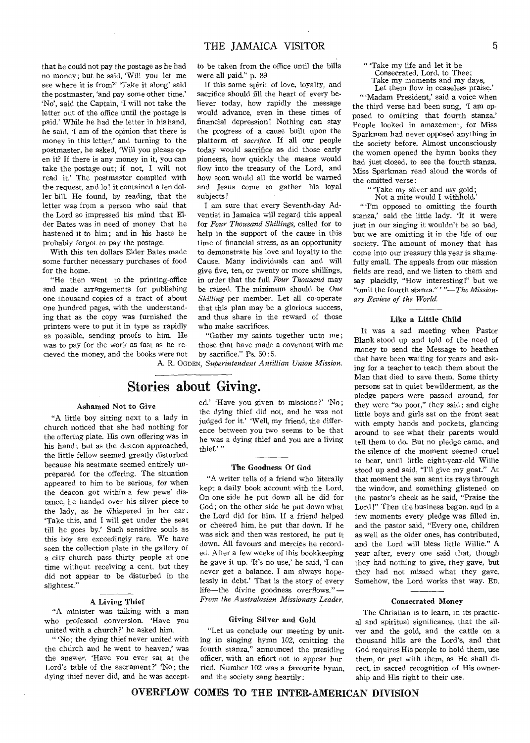that he could not pay the postage as he had no money; but he said, 'Will you let me see where it is from?' Take it along' said the postmaster, 'and pay some other time.' `No', said the Captain, 'I will not take the letter out of the office until the postage is paid.' While he had the letter in his hand, he said, 'I am of the opinion that there is money in this letter,' and turning to the postmaster, he asked, 'Will you please open it? If there is any money in it, you can take the postage out; if not, I will not read it.' The postmaster complied with the request, and lo! it contained a ten doller bill. He found, by reading, that the letter was from a person who said that the Lord so impressed his mind that Elder Bates was in need of money that he hastened it to him; and in his haste he probably forgot to pay the postage.

With this ten dollars Elder Bates made some further necessary purchases of food for the home.

"He then went to the printing-office and made arrangements for publishing one thousand copies of a tract of about one hundred pages, with the understanding that as the copy was furnished the printers were to put it in type as rapidly as possible, sending proofs to him. He was to pay for the work as fast as he recieved the money, and the books were not to be taken from the office until the bills were all paid." p. 89

If this same spirit of love, loyalty, and sacrifice should fill the heart of every believer today, how rapidly the message would advance, even in these times of financial depression! Nothing can stay the progress of a cause built upon the platform of *sacrifice.* If all our people today would sacrifice as did those early pioneers, how quickly the means would flow into the treasury of the Lord, and how soon would all the world be warned and Jesus come to gather his loyal subjects!

I am sure that every Seventh-day Adventist in Jamaica will regard this appeal for *Four Thousand Shillings,* called for to help in the support of the cause in this time of financial stress, as an opportunity to demonstrate his love and loyalty to the Cause. Many individuals can and will give five, ten, or twenty or more shillings, in order that the full *Four Thousand* may be raised. The minimum should be *One Shilling* per member. Let all co-operate that this plan may be a glorious success, and thus share in the reward of those who make sacrifices.

"Gather my saints together unto me ; those that have made a covenant with me by sacrifice." Ps. 50:5.

A. R. OGDEN, *Superintendent Antillian Union Mission.* 

## Stories about Giving.

#### **Ashamed Not to Give**

**"A** little boy sitting next to a lady in church noticed that she had nothing for the offering plate. His own offering was in his hand; but as the deacon approached, the little fellow seemed greatly disturbed because his seatmate seemed entirely unprepared for the offering. The situation appeared to him to be serious, for when the deacon got within a few pews' distance, he handed over his silver piece to the lady, as he Whispered in her ear : `Take this, and I will get under the seat till he goes by.' Such sensitive souls as this boy are exceedingly rare. We have seen the collection plate in the gallery of a city church pass thirty people at one time without receiving a cent, but they did not appear to be disturbed in the slightest."

#### **A Living Thief**

"A minister was talking with a man who professed conversion. 'Have you united with a church?' he asked him.

" 'No; the dying thief never united with the church and he went to heaven,' was the answer. 'Have you ever sat at the Lord's table of the sacrament?' 'No; the dying thief never did, and he was accepted.' 'Have you given to missions?' 'No; the dying thief did not, and he was not judged for it.' 'Well, my friend, the difference between you two seems to be that he was a dying thief and you are a living thief.'"

#### **The Goodness Of God**

"A writer tells of a friend who literally kept a daily book account with the Lord. On one side he put down all he did for God ; on the other side he put down what the Lord did for him. If a friend helped or cheered him, he put that down. If he was sick and then was restored, he put it down. All favours and mercies he recorded. After a few weeks of this bookkeeping he gave it up. 'It's no use,' he said, 'I can never get a balance. I am always hopelessly in debt.' That is the story of every life—the divine goodness overflows."— *From the Australasian Missionary Leader.* 

#### **Giving Silver and Gold**

"Let us conclude our meeting by uniting in singing hymn 102, omitting the fourth stanza," announced the presiding officer, with an efiort not to appear hurried. Number 102 was a favourite hymn, and the society sang heartily:

" 'Take my life and let it be Consecrated, Lord, to Thee; Take my moments and my days,

Let them flow in ceaseless praise.'

"'Madam President,' said a voice when the third verse had been sung, 'I am opposed to omitting that fourth stanza.' People looked in amazement, for Miss Sparkman had never opposed anything in the society before. Almost unconsciously the women opened the hymn books they had just closed, to see the fourth stanza. Miss Sparkman read aloud the words of the omitted verse:

" 'Take my silver and my gold;

Not a mite would I withhold.' "'I'm opposed to omitting the fourth stanza,' said the little lady. 'If it were just in our singing it wouldn't be so bad, but we are omitting it in the life of our society. The amount of money that has come into our treasury this year is shamefully small. The appeals from our mission fields are read, and we listen to them and say placidly, "How interesting!" but we "omit the fourth stanza." ' *"—The Missionary Review of the World.* 

#### **Like a Little Child**

It was a sad meeting when Pastor Blank stood up and told of the need of money to send the Message to heathen that have been waiting for years and asking for a teacher to teach them about the Man that died to save them. Some thirty persons sat in quiet bewilderment, as the pledge papers were passed around, for they were "so poor," they said; and eight little boys and girls sat on the front seat with empty hands and pockets, glancing around to see what their parents would tell them to do. But no pledge came, and the silence of the moment seemed cruel to bear, until little eight-year-old Willie stood up and said, "I'll give my goat." At that moment the sun sent its rays through the window, and something glistened on the pastor's cheek as he said, "Praise the Lord !" Then the business began, and in a few moments every pledge was filled in, and the pastor said, "Every one, children as well as the older ones, has contributed, and the Lord will bless little Willie." A year after, every one said that, though they had nothing to give, they gave, but they had not missed what they gave. Somehow, the Lord works that way. ED.

#### **Consecrated Money**

The Christian is to learn, in its practical and spiritual significance, that the silver and the gold, and the cattle on a thousand hills are the Lord's, and that God requires His people to hold them, use them, or part with them, as He shall direct, in sacred recognition of His ownership and His right to their use.

OVERFLOW COMES TO THE INTER-AMERICAN DIVISION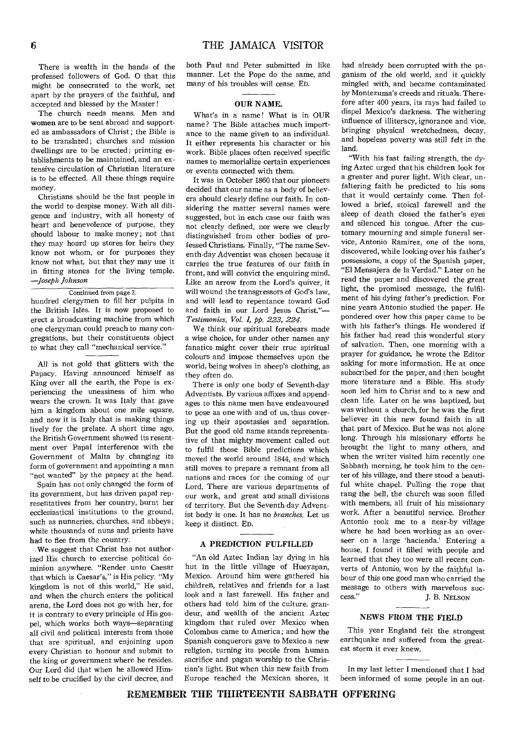There is wealth in the hands of the professed followers of God. 0 that this might be consecrated to the work, set apart by the prayers of the faithful, and accepted and blessed by the Master!

The church needs means. Men and women are to be sent abroad and supported as ambassadors of Christ ; the Bible is to be translated; churches and mission dwellings are to be erected; printing establishments to be maintained, and an extensive circulation of Christian literature is to be effected. All these things require money.

Christians should be the last people in the world to despise money. With all diligence and industry, with all honesty of heart and benevolence of purpose, they should labour to make money; not that they may hoard up stores for heirs they know not whom, or for purposes they know not what, but that they may use it in fitting stones for the living temple. *—Joseph Johnson* 

Continued from page 2. hundred clergymen to fill her pulpits in the British Isles. It is now proposed to erect a broadcasting machine from which one clergyman could preach to many congregations, but their constituents object to what they call "mechanical service."

All is not gold that glitters with the Papacy. Having announced himself as King over all the earth, the Pope is experiencing the uneasiness of him who wears the crown. It was Italy that gave him a kingdom about one mile square, and now it is Italy that is making things lively for the prelate. A short time ago, the British Government showed its resentment over Papal interference with the Government of Malta by changing its form of government and appointing a man "not wanted" by the papacy at the head.

Spain has not only changed the form of its government, but has driven papal representatives from her country, burnt her ecclesiastical institutions to the ground, such as nunneries, churches, and abbeys; while thousands of nuns and priests have had to flee from the country.

We suggest that Christ has not authorized His church to exercise political dominion anywhere. "Render unto Caesar that which is Caesar's," is His policy. "My kingdom is not of this world," He said, and when the church enters the political arena, the Lord does not go with her, for it is contrary to every principle of His gospel, which works both ways—separating all civil and political interests from those that are spiritual, and enjoining upon every Christian to honour and submit to the king or government where he resides. Our Lord did that when he allowed Himself to be crucified by the civil decree, and

both Paul and Peter submitted in like manner. Let the Pope do the same, and many of his troubles will cease. ED.

#### OUR NAME.

What's in a name! What is in OUR name? The Bible attaches much importance to the name given to an individual. It either represents his character or his work. Bible places often received specific names to memorialize certain experiences or events connected with them.

It was in October 1860 that our pioneers decided that our name as a body of believers should clearly define our faith. In considering the matter several names were suggested, but in each case our faith was not clearly defined, nor were we clearly distinguished from other bodies of professed Christians. Finally, "The name Seventh-day Adventist was chosen because it carries the true features of our faith in front, and will convict the enquiring mind. Like an arrow from the Lord's quiver, it will wound the transgressors of God's law, and will lead to repentance toward God and faith in our Lord Jesus Christ."— *Testimonies, Vol. I,* pp. *223, 224.* 

We think our spiritual forebears made a wise choice, for under other names any fanatics might cover their true spiritual colours and impose themselves upon the world, being wolves in sheep's clothing, as they often do.

There is only one body of Seventh-day Adventists. By various affixes and appendages to this name men have endeavoured to pose as one with and of us, thus covering up their apostasies and separation. But the good old name stands representative of that mighty movement called out to fulfil those Bible predictions which moved the world around 1844, and which still moves to prepare a remnant from all nations and races for the coming of our Lord. There are various departments of our work, and great and small divisions of territory. But the Seventh-day Adventist body is one. It has no *branches.* Let us keep it distinct. ED.

#### A PREDICTION FULFILLED

"An old Aztec Indian lay dying in his hut in the little village of Hueyapan, Mexico. Around him were gathered his children, relatives and friends for a last look and a last farewell. His father and others had told him of the culture, grandeur, and wealth of the ancient Aztec kingdom that ruled over Mexico when Colombus came to America; and how the Spanish conquerors gave to Mexico a new religion, turning its people from human sacrifice and pagan worship to the Christian's light. But when this new faith from Europe reached the Mexican shores, it

had already been corrupted with the paganism of the old world, and it quickly mingled with, and became contaminated by Montezuma's creeds and rituals. Therefore after 400 years, its rays had failed to dispel Mexico's darkness. The withering influence of illiteracy, ignorance and vice, bringing physical wretchedness, decay, and hopeless poverty was still felt in the land.

"With his fast failing strength, the dying Aztec urged that his children look for a greater and purer light. With clear, unfaltering faith he predicted to his sons that it would certainly come. Then followed a brief, stoical farewell and the sleep of death closed the father's eyes and silenced his tongue. After the customary mourning and simple funeral service, Antonio Ramirez, one of the sons, discovered, while looking over his father's possessions, a copy of the Spanish paper, "El Mensajera de la Verdad." Later on he read the paper and discovered the great light, the promised message, the fulfilment of his dying father's prediction. For nine years Antonio studied the paper. He pondered over how this paper came to be with his father's things. He wondered if his father had read this wonderful story of salvation. Then, one morning with a prayer for guidance, he wrote the Editor asking for more information. He at once subscribed for the paper, and then bought more literature and a Bible. His study soon led him to Christ and to a new and clean life. Later on he was baptized, but was without a church, for he was the first believer in this new found faith in all that part of Mexico. But he was not alone long. Through his missionary efforts he brought the light to many others, and when the writer visited him recently one Sabbath morning, he took him to the *center* of his village, and there stood a beautiful white chapel. Pulling the rope that rang the bell, the church was soon filled with members, all fruit of his missionary work. After a beautiful service, Brother Antonio took me to a near-by village where he had been working as an overseer on a large 'hacienda.' Entering a house, I found it filled with people and learned that they too were all recent converts of Antonio, won by the faithful labour of this one good man who carried the message to others with marvelous suc-<br>cess." [. B. NELSON J. B. NELSON

#### NEWS FROM THE FIELD

This year England felt the strongest earthquake and suffered from the greatest storm it ever knew.

In my last letter I mentioned that I had been informed of some people in an out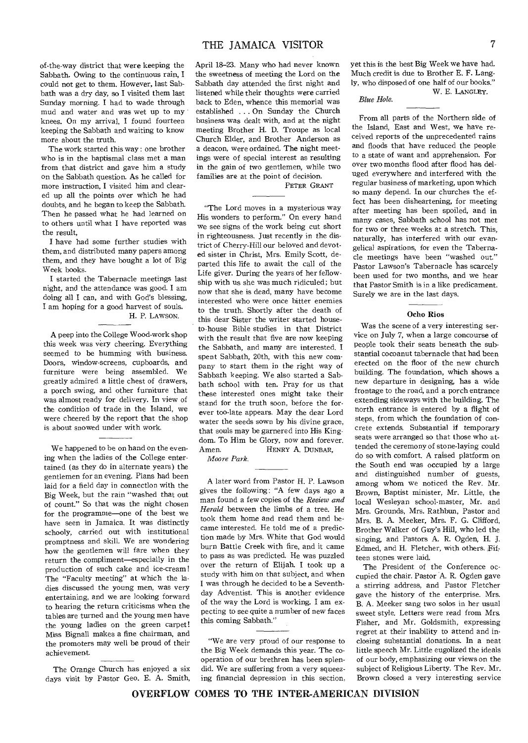of-the-way district that were keeping the Sabbath. Owing to the continuous rain, I could not get to them. However, last Sabbath was a dry day, so I visited them last Sunday morning. I had to wade through mud and water and was wet up to my knees. On my arrival, I found fourteen keeping the Sabbath and waiting to know more about the truth.

The work started this way : one brother who is in the baptismal class met a man from that district and gave him a study on the Sabbath question. As he called for more instruction, I visited him and cleared up all the points over which he had doubts, and he began to keep the Sabbath. Then he passed what he had learned on to others until what I have reported was the result,

I have had some further studies with them, and distributed many papers among them, and they have bought a lot of Big Week books.

I started the Tabernacle meetings last night, and the attendance was good. I am doing all I can, and with God's blessing, I am hoping for a good harvest of souls. H. P. LAWSON.

A peep into the College Wood-work shop this week was very cheering. Everything seemed to be humming with business. Doors, window-screens, cupboards, and furniture were being assembled. We greatly admired a little chest of drawers, a porch swing, and other furniture that was almost ready for delivery. In view of the condition of trade in the Island, we were cheered by the report that the shop is about snowed under with work.

We happened to be on hand on the evening when the ladies of the College entertained (as they do in alternate years) the gentlemen for an evening. Plans had been laid for a field day in connection with the Big Week, but the rain "washed that out of count." So that was the night chosen for the programme—one of the best we have seen in Jamaica. It was distinctly schooly, carried out with institutional promptness and skill. We are wondering how the gentlemen will fare when they return the compliment—especially in the production of such cake and ice-cream ! The "Faculty meeting" at which the ladies discussed the young men, was very entertaining, and we are looking forward to hearing the return criticisms when the tables are turned and the young men have the young ladies on the green carpet! Miss Bignall makes a fine chairman, and the promoters may well be proud of their achievement.

The Orange Church has enjoyed a six days visit by Pastor Geo. E. A. Smith,

April 18-23. Many who had never known the sweetness of meeting the Lord on the Sabbath day attended the first night and listened while their thoughts were carried back to Eden, whence this memorial was established . . . On Sunday the Church business was dealt with, and at the night meeting Brother H. D. Troupe as local Church Elder, and Brother Anderson as a deacon, were ordained. The night meetings were of special interest as resulting in the gain of two gentlemen, while two families are at the point of decision.

PETER GRANT

"The Lord moves in a mysterious way His wonders to perform." On every hand we see signs of the work being cut short in righteousness. Just recently in the district of Cherry-Hill our beloved and devoted sister in Christ, Mrs. Emily Scott, departed this life to await the call of the Life giver. During the years of her fellowship with us she was much ridiculed; but now that she is dead, many have become interested who were once bitter enemies to the truth. Shortly after the death of this dear Sister the writer started houseto-house Bible studies in that District with the result that five are now keeping the Sabbath, and many are interested. I spent Sabbath, 20th, with this new company to start them in the right way of Sabbath keeping. We also started a Sabbath school with ten. Pray for us that these interested ones might take their stand for the truth soon, before the forever too-late appears. May the dear Lord water the seeds sown by his divine grace, that souls may be garnered into His Kingdom. To Him be Glory, now and forever. Amen. HENRY A. DUNBAR,

*Moore Park.* 

A later word from Pastor H. P. Lawson gives the following: "A few days ago a man found a few copies of the *Reeiew and Herald* between the limbs of a tree. He took them home and read them and became interested. He told me of a prediction made by Mrs. White that God would burn Battle Creek with fire, and it came to pass as was predicted. He was puzzled over the return of Elijah. I took up a study with him on that subject, and when I was through he decided to be a Seventhday Adventist. This is another evidence of the way the Lord is working. I am expecting to see quite a number of new faces this coming Sabbath."

"We are very proud of our response to the Big Week demands this year. The cooperation of our brethren has been splendid. We are suffering from a very squeezing financial depression in this section,

yet this is the best Big Week we have had. Much credit is due to Brother E. F. Langly, who disposed of one half of our books." W. E. LANGLEY.

*Blue Hole.* 

From all parts of the Northern side of the Island, East and West, we have received reports of the unprecedented rains and floods that have reduced the people to a state of want and apprehension. For over two months flood after flood has deluged everywhere and interfered with the regular business of marketing, upon which so many depend. In our churches the effect has been disheartening, for meeting after meeting has been spoiled, and in many cases, Sabbath school has not met for two or three weeks at a stretch. This, naturally, has interfered with our evangelical aspirations, for even the Tabernacle meetings have been "washed out." Pastor Lawson's Tabernacle has scarcely been used for two months, and we hear that Pastor Smith is in a like predicament. Surely we are in the last days.

#### Ocho Rios

Was the scene of a very interesting service on July 7, when a large concourse of people took their seats beneath the substantial cocoanut tabernacle that had been erected on the floor of the new church building. The foundation, which shows a new departure in designing, has a wide frontage to the road, and a porch entrance extending sideways with the building. The north entrance is entered by a flight of steps, from which the foundation of concrete extends. Substantial if temporary seats were arranged so that those who attended the ceremony of stone-laying could do so with comfort. A raised platform on the South end was occupied by a large and distinguished number of guests, among whom we noticed the Rev. Mr. Brown, Baptist minister, Mr. Little, the local Wesleyan school-master, Mr. and Mrs. Grounds, Mrs. Rathbun, Pastor and Mrs. B. A. Meeker, Mrs. F. G. Clifford, Brother Walker of Guy's Hill, who led the singing, and Pastors A. R. Ogden, H. J. Edmed, and H. Fletcher, with others. Fifteen stones were laid.

The President of the Conference occupied the chair. Pastor A. R. Ogden gave a stirring address, and Pastor Fletcher gave the history of the enterprise. Mrs. B. A. Meeker sang two solos in her usual sweet style. Letters were read from Mrs. Fisher, and Mr. Goldsmith, expressing regret at their inability to attend and inclosing substantial donations. In a neat little speech Mr. Little eugolized the ideals of our body, emphasizing our views on the subject of Religious Liberty. The Rev. Mr. Brown closed a very interesting service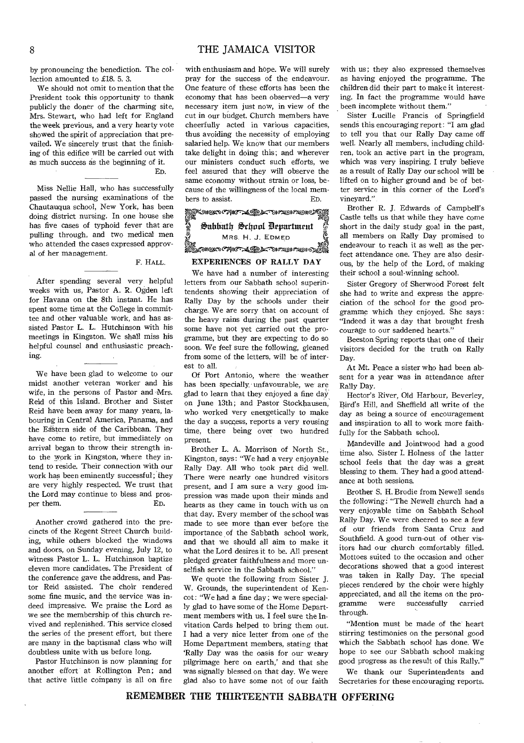by pronouncing the benediction. The collection amounted to £18. 5. 3.

We should not omit to mention that the President took this opportunity to thank publicly the doner of the charming site, Mrs. Stewart, who had left for England the week previous, and a very hearty vote showed the spirit of appreciation that prevailed. We sincerely trust that the finishing of this edifice will be carried out with as much success as the beginning of it. ED.

Miss Nellie Hall, who has successfully passed the nursing examinations of the Chautauqua school, New York, has been doing district nursing. In one house she has five cases of typhoid fever that are pulling through, and two medical men who attended the cases expressed approval of her management.

F. HALL.

After spending several very helpful weeks with us, Pastor A. R. Ogden left for Havana on the 8th instant. He has spent some time at the College in committee and other valuable work, and has assisted Pastor L. L. Hutchinson with his meetings in Kingston. We shall miss his helpful counsel and enthusiastic preaching.

We have been glad to welcome to our midst another veteran worker and his wife, in the persons of Pastor and Mrs. Reid of this Island. Brother and Sister Reid have been away for many years, labouring in Central America, Panama, and the Eastern side of the Caribbean. They have come to retire, but immediately on arrival began to throw their strength into the work in Kingston, where they intend to reside. Their connection with our work has been eminently successful; they are very highly respected. We trust that the Lord may continue to bless and prosper them. ED.

Another crowd gathered into the precincts of the Regent Street Church building, while others blocked the windows and doors, on Sunday evening, July 12, to witness Pastor L. L. Hutchinson baptize eleven more candidates. The President of the conference gave the address, and Pastor Reid assisted. The choir rendered some fine music, and the service was indeed impressive. We praise the Lord as we see the membership of this church revived and replenished. This service closed the series of the present effort, but there are many in the baptismal class who will doubtless unite with us before long.

Pastor Hutchinson is now planning for another effort at Rollington Pen; and that active little company is all on fire

with enthusiasm and hope. We will surely pray for the success of the endeavour. One feature of these efforts has been the economy that has been observed—a very necessary item just now, in view of the cut in our budget. Church members have cheerfully acted in various capacities, thus avoiding the necessity of employing salaried help. We know that our members take delight in doing this; and wherever our ministers conduct such efforts, we feel assured that they will observe the same economy without strain or loss, because of the willingness of the local members to assist. ED. bers to assist. cause of<br>bers to<br>strate of the strategy<br>of the strategy<br>of the strategy

NGSOMOZO GHUG<del>, XQQ</del>QZ-DHGXOHQXOM<br>QR

Sahhath School Department MRS. **H.** J. EDMED

ity<br>*Mozonoro C*hac<del>e AGO</del>r-dickoreonexo

#### EXPERIENCES OF RALLY DAY

We have had a number of interesting letters from our Sabbath school superintendents showing their appreciation of Rally Day by the schools under their charge. We are sorry that on account of the heavy rains during the past quarter some have not yet carried out the programme, but they are expecting to do so soon. We feel sure the following, gleaned from some of the letters, will be of interest to all.

Of Port Antonio, where the weather has been specially unfavourable, we are glad to learn that they enjoyed a fine day on June 13th; and Pastor Stockhausen, who worked very energetically to make the day a success, reports a very rousing time, there being over two hundred present.

Brother L. A. Morrison of North St., Kingston, says: "We had a very enjoyable Rally Day. All who took part did well. There were nearly one hundred visitors present, and I am sure a very good impression was made upon their minds and hearts as they came in touch with us on that day. Every member of the school was made to see more than ever before the importance of the Sabbath school work, and that we should all aim to make it what the Lord desires it to be. All present pledged greater faithfulness and more unselfish service in the Sabbath school.'

We quote the following from Sister J. W. Grounds, the superintendent of Kencot: "We had a fine day; we were specially glad to have some of the Home Department members with us. I feel sure the Invitation Cards helped to bring them out. I had a very nice letter from one of the Home Department members, stating that `Rally Day was the oasis for our weary pilgrimage here on earth,' and that she was signally blessed on that day. We were glad also to have some not of our faith

with us; they also expressed themselves as having enjoyed the programme. The children did their part to make it interesting. In fact the programme would have been incomplete without them."

Sister Lucille Francis of Springfield sends this encouraging report : "I am glad to tell you that our Rally Day came off well. Nearly all members, including children, took an active part in the program, which was very inspiring. I truly believe as a result of Rally Day our school will be lifted on to higher ground and be of better service in this corner of the Lord's vineyard."

Brother R. J. Edwards of Campbell's Castle tells us that while they have come short in the daily study goal in the past, all members on Rally Day promised to endeavour to reach it as well as the perfect attendance one. They are also desirous, by the help of the Lord, of making their school a soul-winning school.

Sister Gregory of Sherwood Forest felt she had to write and express the appreciation of the school for the good programme which they enjoyed. She says: "Indeed it was a day that brought fresh courage to our saddened hearts."

Beeston Spring reports that one of their visitors decided for the truth on Rally Day.

At Mt. Peace a sister who had been absent for a year was in attendance after Rally Day.

Hector's River, Old Harbour, Beverley, Bird's Hill, and Sheffield all write of the day as being a source of encouragement and inspiration to all to work more faithfully for the Sabbath school.

Mandeville and Jointwood had a good time also. Sister I. Holness of the latter school feels that the day was a great blessing to them. They had a good attendance at both sessions.

Brother S. H. Brodie from Newell sends the following: "The Newell church had a very enjoyable time on Sabbath School Rally Day. We were cheered to see a few of our friends from Santa Cruz and Southfield. A good turn-out of other visitors had our church comfortably filled. Mottoes suited to the occasion and other decorations showed that a good interest was taken in Rally Day. The special pieces rendered by the choir were highly appreciated, and all the items on the programme were successfully carried through.

"Mention must be made of the heart stirring testimonies on the personal good which the Sabbath school has done. We hope to see our Sabbath school making good progress as the result of this Rally."

We thank our Superintendents and Secretaries for these encouraging reports.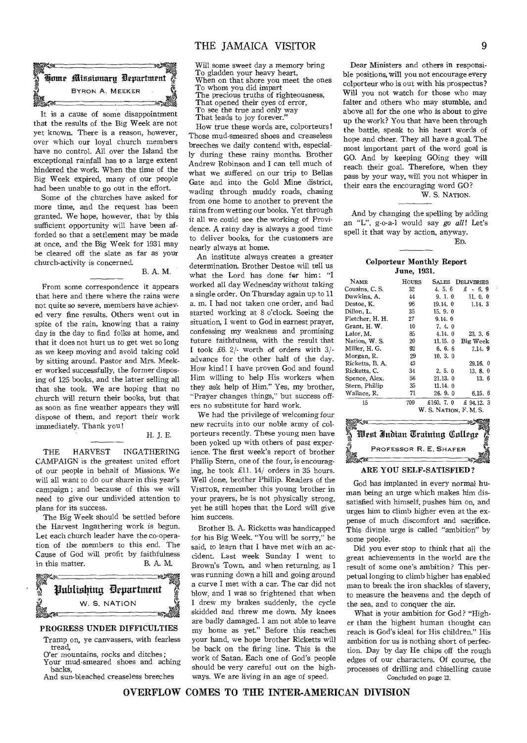#### THE JAMAICA VISITOR



It is a cause of some disappointment that the results of the Big Week are not yet known. There is a reason, however, over which our loyal church members have no control. All over the Island the exceptional rainfall has to a large extent hindered the work. When the time of the Big Week expired, many of our people had been unable to go out in the effort.

Some of the churches have asked for more time, and the request has been granted. We hope, however, that by this sufficient opportunity will have been afforded so that a settlement may be made at once, and the Big Week for 1931 may be cleared off the slate as far as your church-activity is concerned.

#### B. A. M.

From some correspondence it appears that here and there where the rains were not quite so severe, members have achieved very fine results. Others went out in spite, of the rain, knowing that a rainy day is the day to find folks at home, and that it does not hurt us to get wet so long as we keep moving and avoid taking cold by sitting around. Pastor and Mrs. Meeker worked successfully, the former disposing of 125 books, and the latter selling all that she took. We are hoping that no church will return their books, but that as soon as fine weather appears they will dispose of them, and report their work immediately. Thank you!

#### H. J. E.

THE HARVEST INGATHERING CAMPAIGN is the greatest united effort of our people in behalf of Missions. We will all want to do our share in this year's campaign ; and because of this we will need to give our undivided attention to plans for its success.

The Big Week should be settled before the Harvest Ingathering work is begun. Let each church leader have the co-operation of the members to this end. The Cause of God will profit by faithfulness<br>in this matter. B. A. M. in this matter.



#### PROGRESS UNDER DIFFICULTIES

Tramp on, ye canvassers, with fearless tread,

O'er mountains, rocks and ditches ; Your mud-smeared shoes and aching backs,

And sun-bleached creaseless breeches

Will some sweet day a memory bring To gladden your heavy heart, When on that shore you meet the ones To whom you did impart The precious truths of righteousness, That opened their eyes of error, To see the true and only way That leads to joy forever.

How true these words are, colporteurs! Those mud-smeared shoes and creaseless breeches we daily contend with, especially during these rainy months. Brother Andrew Robinson and I can tell much of what we suffered on our trip to Bellas Gate and into the Gold Mine district, wading through muddy roads, chasing from one home to another to prevent the rains from wetting our books. Yet through it all we could see the working of Providence. A rainy day is always a good time to deliver books, for the customers are nearly always at home.

An institute always creates a greater determination. Brother Destoe will tell us what the Lord has done for him: "I worked all day Wednesday without taking a single order. On Thursday again up to 11 a. m. I had not taken one order, and had started working at 8 o'clock. Seeing the situation, I went to God in earnest prayer, confessing my weakness and promising future faithfulness, with the result that I took £6. 2/- worth of orders with 3/ advance for the other half of the day. How kind ! I have proven God and found Him willing to help His workers when they ask help of Him." Yes, my brother, "Prayer changes things," but success offers no substitute for hard work.

We had the privilege of welcoming four new recruits into our noble army of colporteurs recently. These young men have been yoked up with others of past experience. The first week's report of brother Phillip Stern, one of the four, is encouraging, he took £11. 14/ orders in 35 hours. Well done, brother Phillip. Readers of the VISITOR, remember this young brother in your prayers, he is not physically strong, yet he still hopes that the Lord will give him success.

Brother B. A. Ricketts was handicapped for his Big Week. "You will be sorry," he said, to learn that I have met with an accident. Last week Sunday I went to Brown's Town, and when returning, as I was running down a hill and going around a curve I met with a car. The car did not blow, and I was so frightened that when I drew my brakes suddenly, the cycle skidded and threw me down. My knees are badly damaged. I am not able to leave my home as yet." Before this reaches your hand, we hope brother Ricketts will be back on the firing line. This is the work of Satan. Each one of God's people should be very careful out on the highways. We are living in an age of speed.

Dear Ministers and others in responsible positions, will you not encourage every colporteur who is out with his prospectus? Will you not watch for those who may falter and others who may stumble, and above all for the one who *is* about to give up the work? You that have been through the battle, speak to his heart words of hope and cheer. They all have a goal. The most important part of the word goal is GO. And by keeping GOing they will reach their goal. Therefore, when they pass by your way, will you not whisper in their ears the encouraging word GO?

#### W. S. NATION.

And by changing the spelling by adding an "L", g-o-a-I would say *go all!* Let's spell it that way by action, anyway.

ED.

#### Colporteur Monthly Report June, 1931.

| <b>NAME</b>     | HOURS | Sales      | DELIVERIES |
|-----------------|-------|------------|------------|
| Cousins, C. S.  | 32    | 4, 5, 6    | $£ - 6.9$  |
| Dawkins, A.     | 44    | 9.1.0      | 11. 0. 0   |
| Destoe, K.      | 96    | 19.14.0    | 1.14.3     |
| Dillon, L.      | 35    | 15.9.0     |            |
| Fletcher. H. H. | 27    | 9.14.0     |            |
| Grant, H. W.    | 10    | 7.4.0      |            |
| Lalor. M.       | 85    | 4.14.0     | 23.3.6     |
| Nation. W. S.   | 20    | 11.15.0    | Big Week   |
| Miller, H. G.   | 92    | 6.6.6      | 7.14.9     |
| Morgan, R.      | 29    | 10.3.0     |            |
| Ricketts, B. A. | 43    |            | 29.16.0    |
| Ricketts, C.    | 34    | 2, 5, 0    | 13.8.0     |
| Spence, Alex.   | 56    | 21.13.0    | 13.6       |
| Stern, Phillip  | 35    | 11.14.0    |            |
| Wallace, R.     | 71    | 26.9.0     | 6.15.6     |
| 15              | 709   | £160, 7, 0 | $£94.12$ 3 |





Apwou

#### ARE YOU SELF-SATISFIED?

God has implanted in every normal human being an urge which makes him dissatisfied with himself, pushes him on, and urges him to climb higher even at the expense of much discomfort and sacrifice. This divine urge is called "ambition" by some people.

Did you ever stop to think that all the great achievements in the world are the result of some one's ambition? This perpetual longing to climb higher has enabled man to break the iron shackles of slavery, to measure the heavens and the depth of the sea, and to conquer the air.

What is your ambition for God? "Higher than the highest human thought can reach is God's ideal for His children." His ambition for us is nothing short of perfection. Day by day He chips off the rough edges of our characters. Of course, the processes of drilling and chiselling cause Concluded on page 12.

OVERFLOW COMES TO THE INTER-AMERICAN DIVISION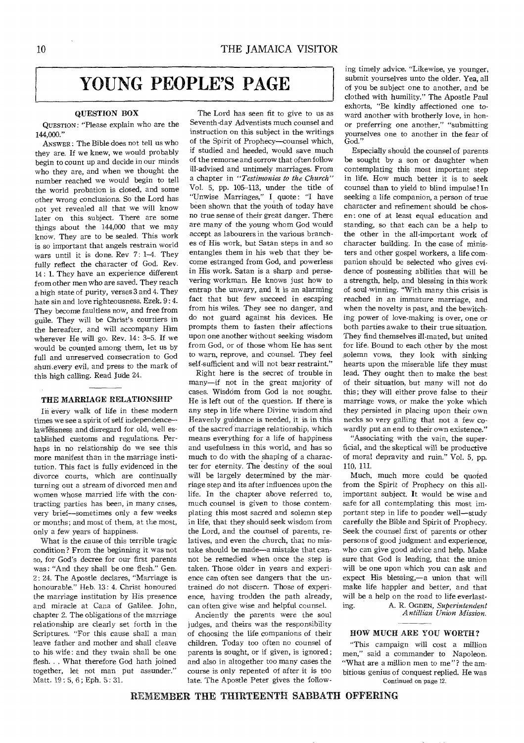## YOUNG PEOPLE'S PAGE

#### QUESTION BOX

QUESTION: "Please explain who are the 14,4,000."

ANSWER: The Bible does not tell us who they are. If we knew, we would probably begin to count up and decide in our minds who they are, and when we thought the number reached we would begin to tell the world probation is closed, and some other wrong conclusions. So the Lord has not yet revealed all that we will know later on this subject. There are some things about the 144,000 that we may know. They are to be sealed. This work is so important that angels restrain world wars until it is done. Rev 7: 1-4. They fully reflect the character of God. Rev. 14: 1. They have an experience different from other men who are saved. They reach a high state of purity, verses 3 and 4. They hate sin and love righteousness. Ezek. 9: 4. They become faultless now, and free from guile. They will be Christ's courtiers in the hereafter, and will accompany Him wherever He will go. Rev. 14: 3-5. If we would be counted among them, let us by full and unreserved consecration to God shun every evil, and press to the mark of this high calling. Read Jude 24.

#### THE MARRIAGE RELATIONSHIP

In every walk of life in these modern times we see a spirit of self independence- lawTessness and disregard for old, well established customs and regulations. Perhaps in no relationship do we see this more manifest than in the marriage institution. This fact is fully evidenced in the divorce courts, which are continually turning out a stream of divorced men and women whose married life with the contracting parties has been, in many cases, very brief—sometimes only a few weeks or months; and most of them, at the most, only a few years of happiness.

What is the cause of this terrible tragic condition ? From the beginning it was not so, for God's decree for our first parents was: "And they shall be one flesh." Gen. 2: 24. The Apostle declares, "Marriage is honourable." Heb. 13: 4. Christ honoured the marriage institution by His presence and miracle at Cana of Galilee. John, chapter 2. The obligations of the marriage relationship are clearly set forth in the Scriptures. "For this cause shall a man leave father and mother and shall cleave to his wife: and they twain shall be one flesh. . . What therefore God hath joined together, let not man put assunder." Matt. 19: 5, 6; Eph. 5: 31.

The Lord has seen fit to give to us as Seventh-day Adventists much counsel and instruction on this subject in the writings of the Spirit of Prophecy—counsel which, if studied and heeded, would save much of the remorse and sorrow that often follow ill-advised and untimely marriages. From a chapter in *"Testimonies to the Church"*  Vol. 5, pp. 105-113, under the title of "Unwise Marriages," I quote: "I have been shown that the youth of today have no true sense of their great danger. There are many of the young whom God would accept as labourers in the various branches of His work, but Satan steps in and so entangles them in his web that they become estranged from God, and powerless in His work. Satan is a sharp and persevering workman. He knows just how to entrap the unwary, and it is an alarming fact that but few succeed in escaping from his wiles. They see no danger, and do not guard against his devices. He prompts them to fasten their affections upon one another without seeking wisdom from God, or of those whom He has sent to warn, reprove, and counsel. They feel self-sufficient and will not bear restraint."

Right here is the secret of trouble in many—if not in the great majority of cases. Wisdom from God is not sought. He is left out of the question. If there is any step in life where Divine wisdom and Heavenly guidance is needed, it is in this of the sacred marriage relationship, which means everything for a life of happiness and usefulness in this world, and has so much to do with the shaping of a character for eternity. The destiny of the soul will be largely determined by the marriage step and its after influences upon the life. In the chapter above referred to, much counsel is given to those contemplating this most sacred and solemn step in life, that they should seek wisdom from the Lord, and the counsel of parents, relatives, and even the church, that no mistake should be made—a mistake that cannot be remedied when once the step is taken. Those older in years and experience can often see dangers that the untrained do not discern. Those of experience, having trodden the path already, can often give wise and helpful counsel.

Anciently the parents were the soul judges, and theirs was the responsibility of choosing the life companions of their children. Today too often no counsel of parents is sought, or if given, is ignored; and also in altogether too many cases the course is only repented of after it is too late. The Apostle Peter gives the following timely advice. "Likewise, ye younger, submit yourselves unto the older. Yea, all of you be subject one to another, and be clothed with humility." The Apostle Paul exhorts, "Be kindly affectioned one toward another with brotherly love, in honor preferring one another," "submitting yourselves one to another in the fear of God."

Especially should the counsel of parents be sought by a son or daughter when contemplating this most important step in life. How much better it is to seek counsel than to yield to blind impulse! In seeking a life companion, a person of true character and refinement should be chosen: one of at least equal education and standing, so that each can be a help to the other in the all-important work of character building. In the case of ministers and other gospel workers, a life companion should be selected who gives evidence of possessing abilities that will be a strength, help, and blessing in this work of soul winning. "With many this crisis is reached in an immature marriage, and when the novelty is past, and the bewitching power of love-making is over, one or both parties awake to their true situation. They find themselves ill-mated, but united for life. Bound to each other by the most solemn vows, they look with sinking hearts upon the miserable life they must lead. They ought then to make the best of their situation, but many will not do this; they will either prove false to their marriage vows, or make the yoke which they persisted in placing upon their own necks so very galling that not a few cowardly put an end to their own existence."

"Associating with the vain, the superficial, and the skeptical will be productive of moral depravity and ruin." Vol. 5, pp. 110, 111.

Much, much more could be quoted from the Spirit of Prophecy on this allimportant subject. It would be wise and safe for all contemplating this most important step in life to ponder well—study carefully the Bible and Spirit of Prophecy. Seek the counsel first of parents or other persons of good judgment and experience, who can give good advice and help. Make sure that God is leading, that the union will be one upon which you can ask and expect His blessing,—a union that will make life happier and better, and that will be a help on the road to life everlasting. A. R. OGDEN, *Superintendent Antillian Union Mission.* 

#### HOW MUCH ARE YOU WORTH?

"This campaign will cost a million men," said a commander to Napoleon. "What are a million men to me"? the ambitious genius of conquest replied. He was Continued on page 12.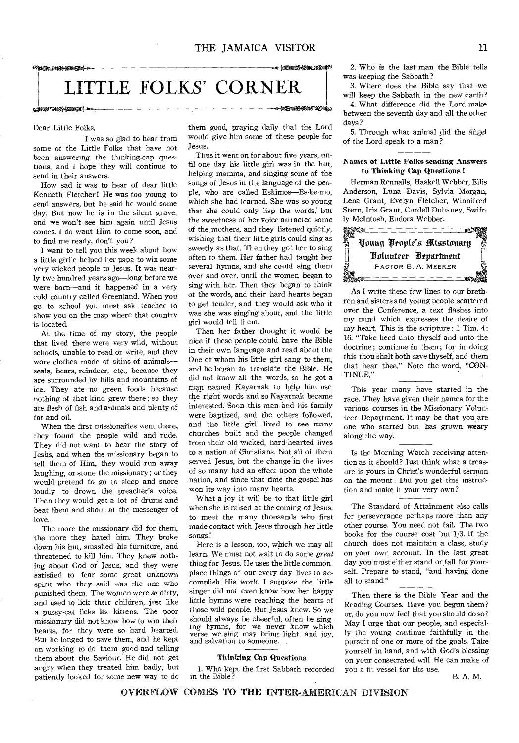4-M18\$01N,ISERT:63

a-Masamarkomb

**CYMAX: 9M3449M6324+** 

# LITTLE FOLKS' CORNER

#### c:<br>c:laos: ansesna

#### Dear Little Folks,

I was so glad to hear from some of the Little Folks that have not been answering the thinking-cap questions, and I hope they will continue to send in their answers.

How sad it was to hear of dear little Kenneth Fletcher! He was too young to send answers, but he said he would some day. But now he is in the silent grave, and we won't see him again until Jesus comes. I do want Him to come soon, and to find me ready, don't you?

I want to tell you this week about how a little girlie helped her papa to win some very wicked people to Jesus. It was nearly two hundred years ago—long before we were born—and it happened in a very cold country called Greenland. When you go to school you must ask teacher to show you on the map where that country is located.

At the time of my story, the people that lived there were very wild, without schools, unable to read or write, and they wore clothes made of skins of animals seals, bears, reindeer, etc., because they are surrounded by hills and mountains of ice. They ate no green foods because nothing of that kind grew there ; so they ate flesh of fish and animals and plenty of fat and oil.

When the first missionaries went there, they found the people wild and rude. They did not want to hear the story of Jesus, and when the missionary began to tell them of Him, they would run away laughing, or stone the missionary ; or they would pretend to go to sleep and snore loudly to drown the preacher's voice. Then they would get a lot of drums and beat them and shout at the messenger of love.

The more the missionary did for them, the more they hated him. They broke down his hut, smashed his furniture, and threatened to kill him. They knew nothing about God or Jesus, and they were satisfied to fear some great unknown spirit who they said was the one who punished them. The women were *so* dirty, and used to lick their children, just like a pussy-cat licks its kittens. The poor missionary did not know how to win their hearts, for they were so hard hearted. But he longed to save them, and he kept on working to do them good and telling them about the Saviour.' He did not get angry when they treated him badly, but patiently looked for some new way to do

them good, praying daily that the Lord would give him some of these people for Jesus.

Thus it went on for about five years, until one day his little girl was in the hut, helping mamma, and singing some of the songs of Jesus in the language of the people, who are called Eskimos—Es-ke-mo, which she had learned. She was so young that she could only lisp the words; but the sweetness of her voice attracted some of the mothers, and they listened quietly, wishing that their little girls could sing as sweetly as that. Then they got her to sing often to them. Her father had taught her several hymns, and she could sing them over and over, until the women began to sing with her. Then they began to think of the words, and their hard hearts began to get tender, and they would ask who it was she was singing about, and the little girl would tell them.

Then her father thought it would be nice if these people could have the Bible in their own language and read about the One of whom his little girl sang to them, and he began to translate the Bible. He did not know all the words, so he got a man named Kayarnak to help him use the right words and so Kayarnak became interested. Soon this man and his family were baptized, and the others followed, and the little girl lived to see many churches built and the people changed from their old wicked, hard-hearted lives to a nation of Christians. Not all of them served Jesus, but the change in the lives of so many had an effect upon the whole nation, and since that time the gospel has won its way into many hearts.

What a joy it will be to that little girl when she is raised at the coming of Jesus, to meet the many thousands who first made contact with Jesus through her little songs!

Here is a lesson, too, which we may all learn. We must not wait to do some *great*  thing for Jesus. He uses the little commonplace things of our every day lives to accomplish His work. I suppose the little singer did not even know how her happy little hymns were reaching the hearts of those wild people. But Jesus knew. So we should always be cheerful, often be singing hymns, for we never know which verse we sing may bring light, and joy, and salvation to someone.

#### Thinking Cap Questions

1. Who kept the first Sabbath recorded in the Bible?

2. Who is the last man the Bible tells was keeping the Sabbath?

3. Where does the Bible say that we will keep the Sabbath in the new earth?

4. What difference did the Lord make between the seventh day and all the other days?

5. Through what animal did the angel of the Lord speak to a man?

#### Names of Little Folks sending Answers to Thinking Cap Questions !

Herman Rennalls, Haskell Webber, Ellis Anderson, Luna Davis, Sylvia Morgan, Lena Grant, Evelyn Fletcher, Winnifred Stern, Iris Grant, Curdell Duhaney, Swift-



As I write these few lines to our brethren and sisters and young people scattered over the Conference, a text flashes into my mind which expresses the desire of my heart. This is the scripture: 1 Tim. 4: 16. "Take heed unto thyself and unto the doctrine: continue in them: for in doing this thou shalt both save thyself, and them that hear thee." Note the word, "CON-TINUE,"

This year many have started in the race. They have given their names for the various courses in the Missionary Volunteer Department. It may be that you are one who started but has grown weary along the way.

Is the Morning Watch receiving attention as it should? Just think what a treasure is yours in Christ's wonderful sermon on the mount! Did you get this instruction and make it your very own?

The Standard of Attainment also calls for perseverance perhaps more than any other course. You need not fail. The two books for the course cost but 1/3. If the church does not maintain a class, study on your own account. In the last great day you must either stand or fall for yourself. Prepare to stand, "and having done all to stand."

Then there is the Bible Year and the Reading Courses. Have you begun them? or, do you now feel that you should do so? May I urge that our people, and especially the young continue faithfully in the pursuit of one or more of the goals. Take yourself in hand, and with God's blessing on your consecrated will He can make of you a fit vessel for His use.